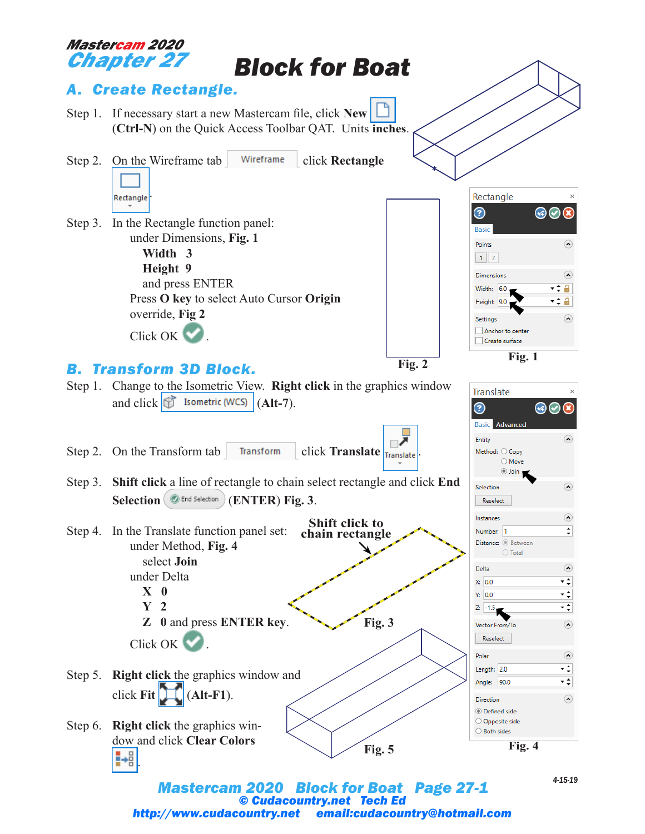

*© Cudacountry.net Tech Ed http://www.cudacountry.net email:cudacountry@hotmail.com*